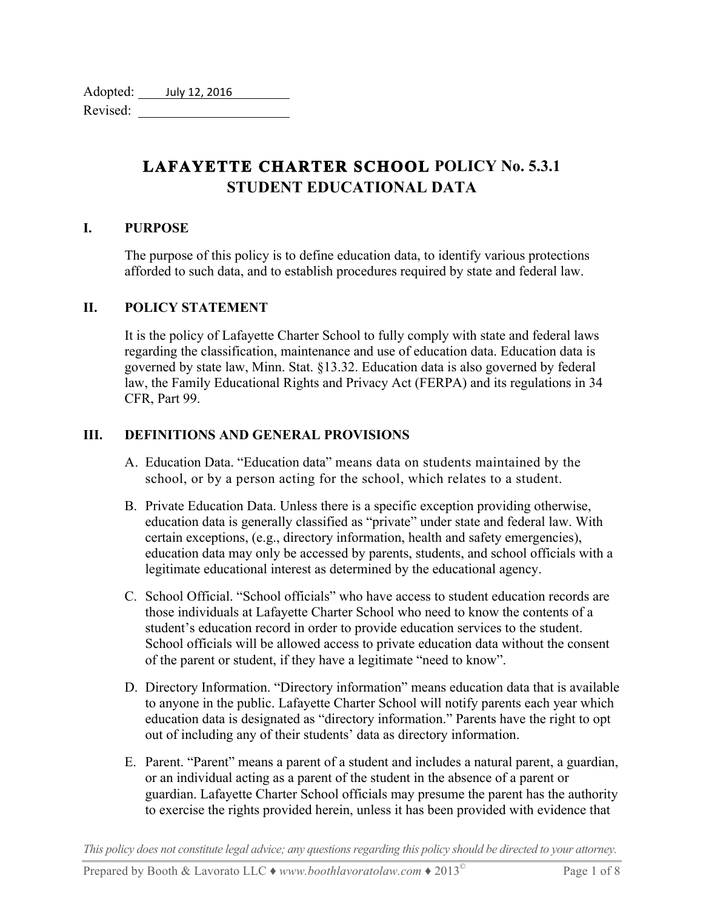| Adopted: | July 12, 2016 |
|----------|---------------|
| Revised: |               |

# **LAFAYETTE CHARTER SCHOOL POLICY No. 5.3.1 STUDENT EDUCATIONAL DATA**

### **I. PURPOSE**

The purpose of this policy is to define education data, to identify various protections afforded to such data, and to establish procedures required by state and federal law.

### **II. POLICY STATEMENT**

It is the policy of Lafayette Charter School to fully comply with state and federal laws regarding the classification, maintenance and use of education data. Education data is governed by state law, Minn. Stat. §13.32. Education data is also governed by federal law, the Family Educational Rights and Privacy Act (FERPA) and its regulations in 34 CFR, Part 99.

### **III. DEFINITIONS AND GENERAL PROVISIONS**

- A. Education Data. "Education data" means data on students maintained by the school, or by a person acting for the school, which relates to a student.
- B. Private Education Data. Unless there is a specific exception providing otherwise, education data is generally classified as "private" under state and federal law. With certain exceptions, (e.g., directory information, health and safety emergencies), education data may only be accessed by parents, students, and school officials with a legitimate educational interest as determined by the educational agency.
- C. School Official. "School officials" who have access to student education records are those individuals at Lafayette Charter School who need to know the contents of a student's education record in order to provide education services to the student. School officials will be allowed access to private education data without the consent of the parent or student, if they have a legitimate "need to know".
- D. Directory Information. "Directory information" means education data that is available to anyone in the public. Lafayette Charter School will notify parents each year which education data is designated as "directory information." Parents have the right to opt out of including any of their students' data as directory information.
- E. Parent. "Parent" means a parent of a student and includes a natural parent, a guardian, or an individual acting as a parent of the student in the absence of a parent or guardian. Lafayette Charter School officials may presume the parent has the authority to exercise the rights provided herein, unless it has been provided with evidence that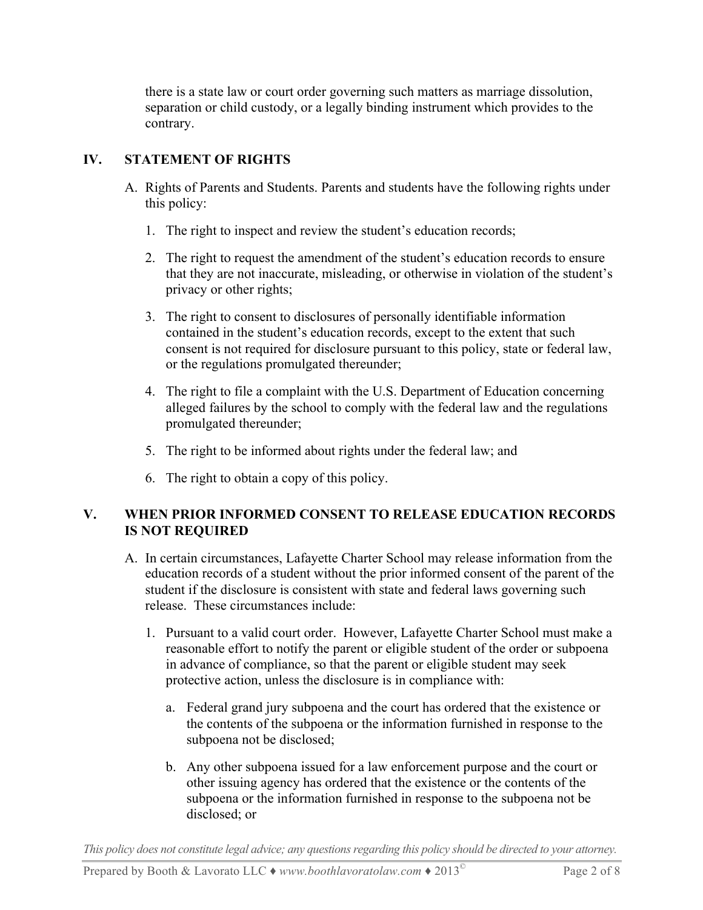there is a state law or court order governing such matters as marriage dissolution, separation or child custody, or a legally binding instrument which provides to the contrary.

## **IV. STATEMENT OF RIGHTS**

- A. Rights of Parents and Students. Parents and students have the following rights under this policy:
	- 1. The right to inspect and review the student's education records;
	- 2. The right to request the amendment of the student's education records to ensure that they are not inaccurate, misleading, or otherwise in violation of the student's privacy or other rights;
	- 3. The right to consent to disclosures of personally identifiable information contained in the student's education records, except to the extent that such consent is not required for disclosure pursuant to this policy, state or federal law, or the regulations promulgated thereunder;
	- 4. The right to file a complaint with the U.S. Department of Education concerning alleged failures by the school to comply with the federal law and the regulations promulgated thereunder;
	- 5. The right to be informed about rights under the federal law; and
	- 6. The right to obtain a copy of this policy.

# **V. WHEN PRIOR INFORMED CONSENT TO RELEASE EDUCATION RECORDS IS NOT REQUIRED**

- A. In certain circumstances, Lafayette Charter School may release information from the education records of a student without the prior informed consent of the parent of the student if the disclosure is consistent with state and federal laws governing such release. These circumstances include:
	- 1. Pursuant to a valid court order. However, Lafayette Charter School must make a reasonable effort to notify the parent or eligible student of the order or subpoena in advance of compliance, so that the parent or eligible student may seek protective action, unless the disclosure is in compliance with:
		- a. Federal grand jury subpoena and the court has ordered that the existence or the contents of the subpoena or the information furnished in response to the subpoena not be disclosed;
		- b. Any other subpoena issued for a law enforcement purpose and the court or other issuing agency has ordered that the existence or the contents of the subpoena or the information furnished in response to the subpoena not be disclosed; or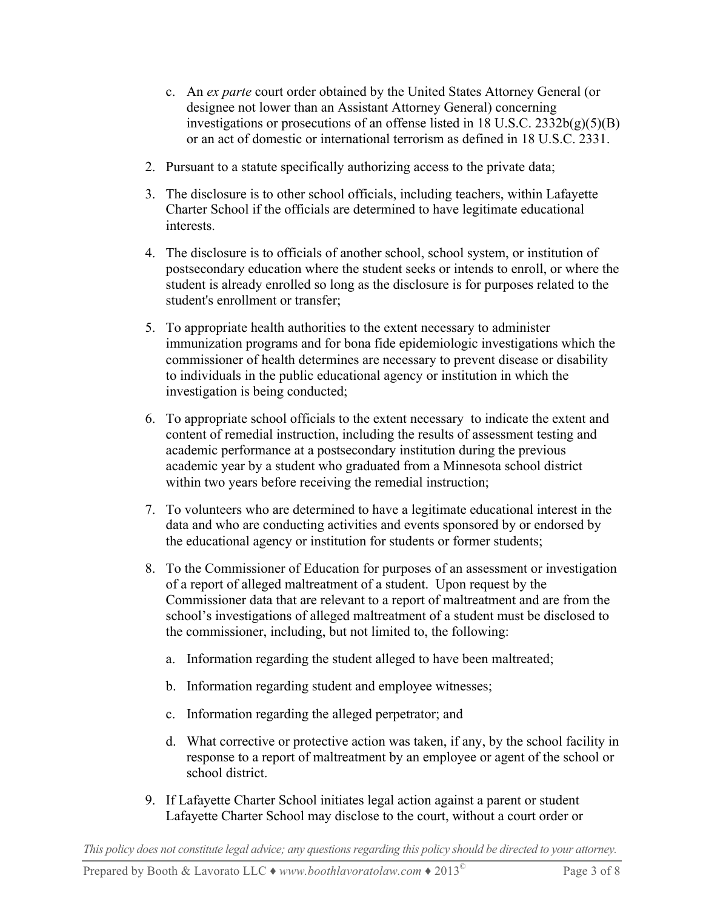- c. An *ex parte* court order obtained by the United States Attorney General (or designee not lower than an Assistant Attorney General) concerning investigations or prosecutions of an offense listed in 18 U.S.C. 2332b(g)(5)(B) or an act of domestic or international terrorism as defined in 18 U.S.C. 2331.
- 2. Pursuant to a statute specifically authorizing access to the private data;
- 3. The disclosure is to other school officials, including teachers, within Lafayette Charter School if the officials are determined to have legitimate educational interests.
- 4. The disclosure is to officials of another school, school system, or institution of postsecondary education where the student seeks or intends to enroll, or where the student is already enrolled so long as the disclosure is for purposes related to the student's enrollment or transfer;
- 5. To appropriate health authorities to the extent necessary to administer immunization programs and for bona fide epidemiologic investigations which the commissioner of health determines are necessary to prevent disease or disability to individuals in the public educational agency or institution in which the investigation is being conducted;
- 6. To appropriate school officials to the extent necessary to indicate the extent and content of remedial instruction, including the results of assessment testing and academic performance at a postsecondary institution during the previous academic year by a student who graduated from a Minnesota school district within two years before receiving the remedial instruction;
- 7. To volunteers who are determined to have a legitimate educational interest in the data and who are conducting activities and events sponsored by or endorsed by the educational agency or institution for students or former students;
- 8. To the Commissioner of Education for purposes of an assessment or investigation of a report of alleged maltreatment of a student. Upon request by the Commissioner data that are relevant to a report of maltreatment and are from the school's investigations of alleged maltreatment of a student must be disclosed to the commissioner, including, but not limited to, the following:
	- a. Information regarding the student alleged to have been maltreated;
	- b. Information regarding student and employee witnesses;
	- c. Information regarding the alleged perpetrator; and
	- d. What corrective or protective action was taken, if any, by the school facility in response to a report of maltreatment by an employee or agent of the school or school district.
- 9. If Lafayette Charter School initiates legal action against a parent or student Lafayette Charter School may disclose to the court, without a court order or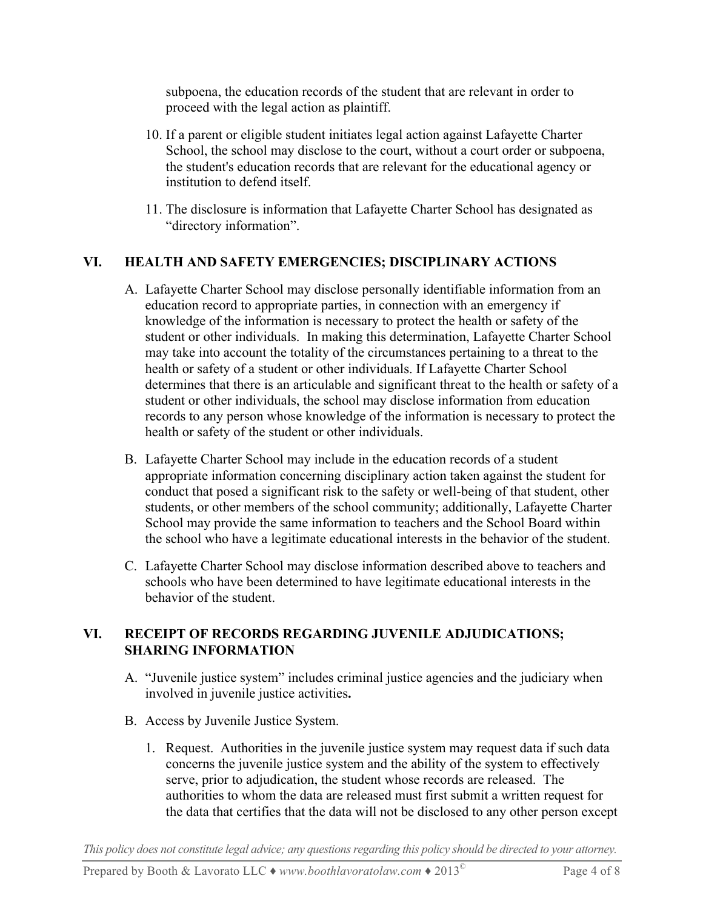subpoena, the education records of the student that are relevant in order to proceed with the legal action as plaintiff.

- 10. If a parent or eligible student initiates legal action against Lafayette Charter School, the school may disclose to the court, without a court order or subpoena, the student's education records that are relevant for the educational agency or institution to defend itself.
- 11. The disclosure is information that Lafayette Charter School has designated as "directory information".

# **VI. HEALTH AND SAFETY EMERGENCIES; DISCIPLINARY ACTIONS**

- A. Lafayette Charter School may disclose personally identifiable information from an education record to appropriate parties, in connection with an emergency if knowledge of the information is necessary to protect the health or safety of the student or other individuals. In making this determination, Lafayette Charter School may take into account the totality of the circumstances pertaining to a threat to the health or safety of a student or other individuals. If Lafayette Charter School determines that there is an articulable and significant threat to the health or safety of a student or other individuals, the school may disclose information from education records to any person whose knowledge of the information is necessary to protect the health or safety of the student or other individuals.
- B. Lafayette Charter School may include in the education records of a student appropriate information concerning disciplinary action taken against the student for conduct that posed a significant risk to the safety or well-being of that student, other students, or other members of the school community; additionally, Lafayette Charter School may provide the same information to teachers and the School Board within the school who have a legitimate educational interests in the behavior of the student.
- C. Lafayette Charter School may disclose information described above to teachers and schools who have been determined to have legitimate educational interests in the behavior of the student.

### **VI. RECEIPT OF RECORDS REGARDING JUVENILE ADJUDICATIONS; SHARING INFORMATION**

- A. "Juvenile justice system" includes criminal justice agencies and the judiciary when involved in juvenile justice activities**.**
- B. Access by Juvenile Justice System.
	- 1. Request.Authorities in the juvenile justice system may request data if such data concerns the juvenile justice system and the ability of the system to effectively serve, prior to adjudication, the student whose records are released. The authorities to whom the data are released must first submit a written request for the data that certifies that the data will not be disclosed to any other person except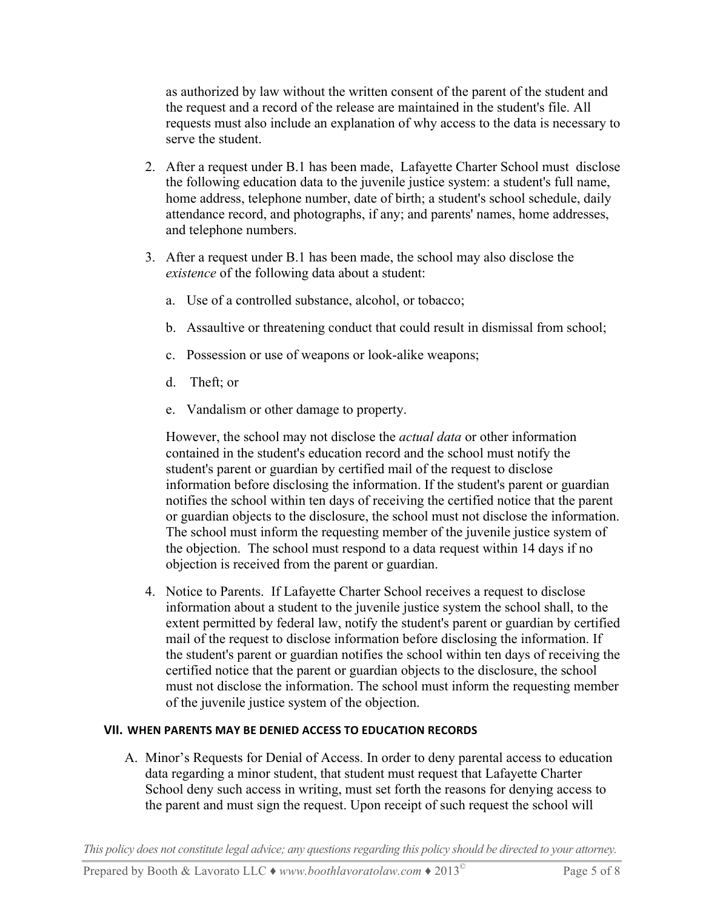as authorized by law without the written consent of the parent of the student and the request and a record of the release are maintained in the student's file. All requests must also include an explanation of why access to the data is necessary to serve the student.

- 2. After a request under B.1 has been made, Lafayette Charter School must disclose the following education data to the juvenile justice system: a student's full name, home address, telephone number, date of birth; a student's school schedule, daily attendance record, and photographs, if any; and parents' names, home addresses, and telephone numbers.
- 3. After a request under B.1 has been made, the school may also disclose the *existence* of the following data about a student:
	- a. Use of a controlled substance, alcohol, or tobacco;
	- b. Assaultive or threatening conduct that could result in dismissal from school;
	- c. Possession or use of weapons or look-alike weapons;
	- d. Theft; or
	- e. Vandalism or other damage to property.

However, the school may not disclose the *actual data* or other information contained in the student's education record and the school must notify the student's parent or guardian by certified mail of the request to disclose information before disclosing the information. If the student's parent or guardian notifies the school within ten days of receiving the certified notice that the parent or guardian objects to the disclosure, the school must not disclose the information. The school must inform the requesting member of the juvenile justice system of the objection. The school must respond to a data request within 14 days if no objection is received from the parent or guardian.

4. Notice to Parents. If Lafayette Charter School receives a request to disclose information about a student to the juvenile justice system the school shall, to the extent permitted by federal law, notify the student's parent or guardian by certified mail of the request to disclose information before disclosing the information. If the student's parent or guardian notifies the school within ten days of receiving the certified notice that the parent or guardian objects to the disclosure, the school must not disclose the information. The school must inform the requesting member of the juvenile justice system of the objection.

### **VII. WHEN PARENTS MAY BE DENIED ACCESS TO EDUCATION RECORDS**

A. Minor's Requests for Denial of Access. In order to deny parental access to education data regarding a minor student, that student must request that Lafayette Charter School deny such access in writing, must set forth the reasons for denying access to the parent and must sign the request. Upon receipt of such request the school will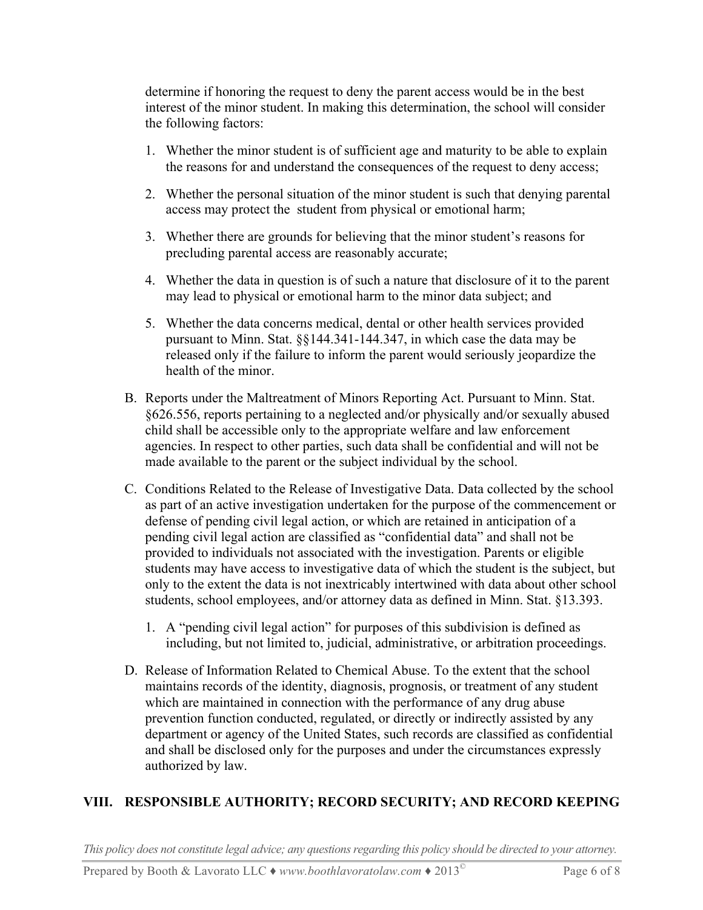determine if honoring the request to deny the parent access would be in the best interest of the minor student. In making this determination, the school will consider the following factors:

- 1. Whether the minor student is of sufficient age and maturity to be able to explain the reasons for and understand the consequences of the request to deny access;
- 2. Whether the personal situation of the minor student is such that denying parental access may protect the student from physical or emotional harm;
- 3. Whether there are grounds for believing that the minor student's reasons for precluding parental access are reasonably accurate;
- 4. Whether the data in question is of such a nature that disclosure of it to the parent may lead to physical or emotional harm to the minor data subject; and
- 5. Whether the data concerns medical, dental or other health services provided pursuant to Minn. Stat. §§144.341-144.347, in which case the data may be released only if the failure to inform the parent would seriously jeopardize the health of the minor.
- B. Reports under the Maltreatment of Minors Reporting Act. Pursuant to Minn. Stat. §626.556, reports pertaining to a neglected and/or physically and/or sexually abused child shall be accessible only to the appropriate welfare and law enforcement agencies. In respect to other parties, such data shall be confidential and will not be made available to the parent or the subject individual by the school.
- C. Conditions Related to the Release of Investigative Data. Data collected by the school as part of an active investigation undertaken for the purpose of the commencement or defense of pending civil legal action, or which are retained in anticipation of a pending civil legal action are classified as "confidential data" and shall not be provided to individuals not associated with the investigation. Parents or eligible students may have access to investigative data of which the student is the subject, but only to the extent the data is not inextricably intertwined with data about other school students, school employees, and/or attorney data as defined in Minn. Stat. §13.393.
	- 1. A "pending civil legal action" for purposes of this subdivision is defined as including, but not limited to, judicial, administrative, or arbitration proceedings.
- D. Release of Information Related to Chemical Abuse. To the extent that the school maintains records of the identity, diagnosis, prognosis, or treatment of any student which are maintained in connection with the performance of any drug abuse prevention function conducted, regulated, or directly or indirectly assisted by any department or agency of the United States, such records are classified as confidential and shall be disclosed only for the purposes and under the circumstances expressly authorized by law.

### **VIII. RESPONSIBLE AUTHORITY; RECORD SECURITY; AND RECORD KEEPING**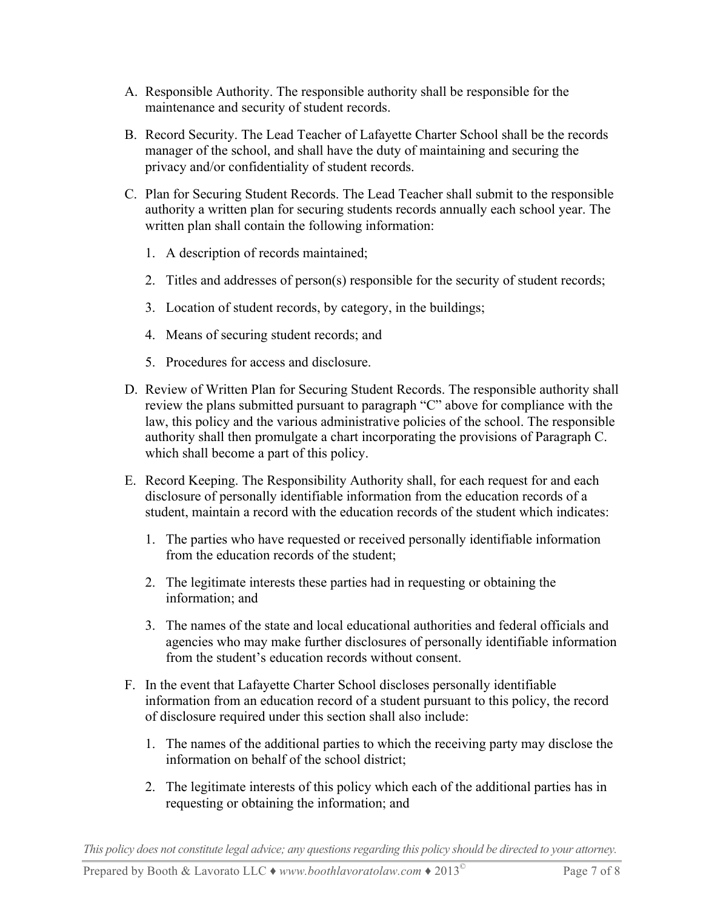- A. Responsible Authority. The responsible authority shall be responsible for the maintenance and security of student records.
- B. Record Security. The Lead Teacher of Lafayette Charter School shall be the records manager of the school, and shall have the duty of maintaining and securing the privacy and/or confidentiality of student records.
- C. Plan for Securing Student Records. The Lead Teacher shall submit to the responsible authority a written plan for securing students records annually each school year. The written plan shall contain the following information:
	- 1. A description of records maintained;
	- 2. Titles and addresses of person(s) responsible for the security of student records;
	- 3. Location of student records, by category, in the buildings;
	- 4. Means of securing student records; and
	- 5. Procedures for access and disclosure.
- D. Review of Written Plan for Securing Student Records. The responsible authority shall review the plans submitted pursuant to paragraph "C" above for compliance with the law, this policy and the various administrative policies of the school. The responsible authority shall then promulgate a chart incorporating the provisions of Paragraph C. which shall become a part of this policy.
- E. Record Keeping. The Responsibility Authority shall, for each request for and each disclosure of personally identifiable information from the education records of a student, maintain a record with the education records of the student which indicates:
	- 1. The parties who have requested or received personally identifiable information from the education records of the student;
	- 2. The legitimate interests these parties had in requesting or obtaining the information; and
	- 3. The names of the state and local educational authorities and federal officials and agencies who may make further disclosures of personally identifiable information from the student's education records without consent.
- F. In the event that Lafayette Charter School discloses personally identifiable information from an education record of a student pursuant to this policy, the record of disclosure required under this section shall also include:
	- 1. The names of the additional parties to which the receiving party may disclose the information on behalf of the school district;
	- 2. The legitimate interests of this policy which each of the additional parties has in requesting or obtaining the information; and